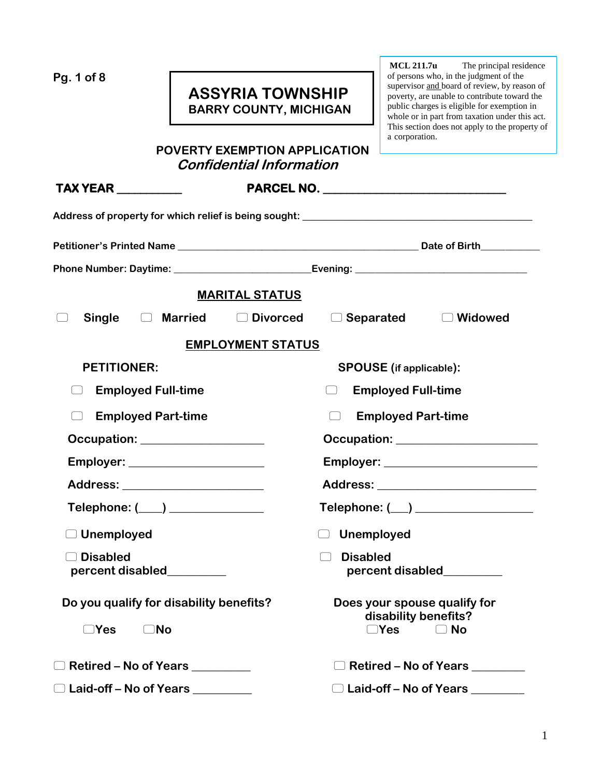**Pg. 1 of 8**

# **ASSYRIA TOWNSHIP BARRY COUNTY, MICHIGAN**

**MCL 211.7u** The principal residence of persons who, in the judgment of the supervisor and board of review, by reason of poverty, are unable to contribute toward the public charges is eligible for exemption in whole or in part from taxation under this act. This section does not apply to the property of a corporation.

| <b>POVERTY EXEMPTION APPLICATION</b> |
|--------------------------------------|
| <b>Confidential Information</b>      |

| <b>TAX YEAR</b> __________                                                             |                                                                                   |  |
|----------------------------------------------------------------------------------------|-----------------------------------------------------------------------------------|--|
|                                                                                        | Address of property for which relief is being sought: ___________________________ |  |
|                                                                                        |                                                                                   |  |
|                                                                                        |                                                                                   |  |
|                                                                                        | <b>MARITAL STATUS</b>                                                             |  |
| <b>Single</b><br>□ Married                                                             | □ Divorced<br>$\Box$ Separated<br>$\Box$ Widowed                                  |  |
|                                                                                        | <b>EMPLOYMENT STATUS</b>                                                          |  |
| <b>PETITIONER:</b>                                                                     | <b>SPOUSE</b> (if applicable):                                                    |  |
| <b>Employed Full-time</b><br>$\vert \hspace{.8cm} \vert$                               | <b>Employed Full-time</b><br>$\Box$                                               |  |
| <b>Employed Part-time</b>                                                              | <b>Employed Part-time</b><br>$\Box$                                               |  |
|                                                                                        | Occupation: <u>__________________________________</u>                             |  |
| Employer: _______________________                                                      |                                                                                   |  |
| Address: _________________________                                                     | Address: _____________________________                                            |  |
| $\mathsf{Telephone:} (\_\_\_)\_\_\_\_\_\_\_\_\_\_\_\_\_\_\_\_\_\_\_\_\_\_\_\_\_\_\_\_$ | Telephone: ( ) _________________                                                  |  |
| $\Box$ Unemployed                                                                      | Unemployed<br>$\Box$                                                              |  |
| <b>Disabled</b><br>percent disabled<br><u>percent</u> disabled                         | <b>Disabled</b><br>Œ<br>percent disabled<br><u>percent</u> disabled               |  |
| Do you qualify for disability benefits?                                                | Does your spouse qualify for<br>disability benefits?                              |  |
| No<br>⊇Yes                                                                             | ∋Yes<br><b>No</b>                                                                 |  |
| $\Box$ Retired – No of Years                                                           | Retired – No of Years                                                             |  |
| □ Laid-off – No of Years <u>New World Burner</u>                                       | □ Laid-off – No of Years                                                          |  |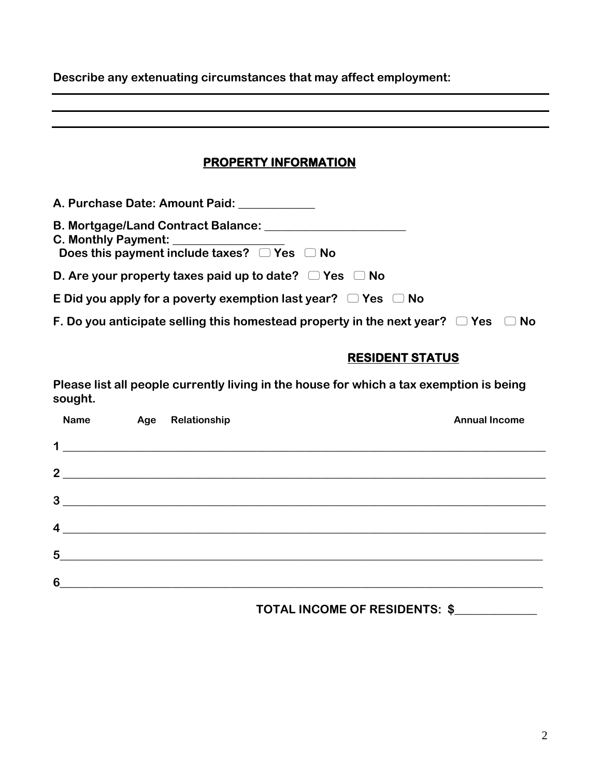**Describe any extenuating circumstances that may affect employment:** 

# **PROPERTY INFORMATION A. Purchase Date: Amount Paid: \_\_\_\_\_\_\_\_\_\_\_\_\_ B. Mortgage/Land Contract Balance: \_\_\_\_\_\_\_\_\_\_\_\_\_\_\_\_\_\_\_\_\_\_\_\_ C. Monthly Payment: Does this payment include taxes? Yes No D. Are your property taxes paid up to date? Yes No E** Did you apply for a poverty exemption last year?  $\Box$  Yes  $\Box$  No **F. Do you anticipate selling this homestead property in the next year?**  $\Box$  **Yes**  $\Box$  **No RESIDENT STATUS**

**Please list all people currently living in the house for which a tax exemption is being sought.** 

|                  | <b>Name</b> | Age | Relationship                                                                                                          | <b>Annual Income</b> |
|------------------|-------------|-----|-----------------------------------------------------------------------------------------------------------------------|----------------------|
| 1                |             |     |                                                                                                                       |                      |
| $\overline{2}$   |             |     | <u> 1989 - Johann Stoff, deutscher Stoff, der Stoff, der Stoff, der Stoff, der Stoff, der Stoff, der Stoff, der S</u> |                      |
| 3                |             |     |                                                                                                                       |                      |
| $\boldsymbol{4}$ |             |     | and the contract of the contract of the contract of the contract of the contract of the contract of the contract of   |                      |
| $5\phantom{1}$   |             |     |                                                                                                                       |                      |
| 6                |             |     |                                                                                                                       |                      |

## **TOTAL INCOME OF RESIDENTS: \$\_\_\_\_\_\_\_\_\_\_\_\_\_\_**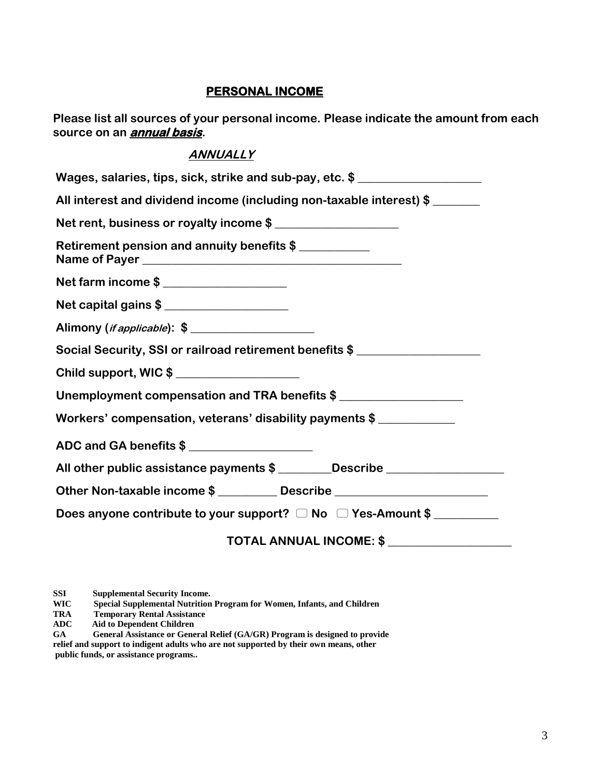#### **PERSONAL INCOME**

**Please list all sources of your personal income. Please indicate the amount from each source on an annual basis.** 

# **ANNUALLY**

| Wages, salaries, tips, sick, strike and sub-pay, etc. \$                          |  |  |  |
|-----------------------------------------------------------------------------------|--|--|--|
| All interest and dividend income (including non-taxable interest) \$              |  |  |  |
| Net rent, business or royalty income \$                                           |  |  |  |
| Retirement pension and annuity benefits \$                                        |  |  |  |
| Net farm income \$                                                                |  |  |  |
| Net capital gains \$                                                              |  |  |  |
| Alimony ( <i>if applicable</i> ): \$                                              |  |  |  |
| Social Security, SSI or railroad retirement benefits \$                           |  |  |  |
| Child support, WIC\$                                                              |  |  |  |
| Unemployment compensation and TRA benefits \$                                     |  |  |  |
| Workers' compensation, veterans' disability payments \$                           |  |  |  |
| ADC and GA benefits \$                                                            |  |  |  |
| All other public assistance payments \$ ________Describe ________________________ |  |  |  |
| Other Non-taxable income \$                                                       |  |  |  |
| Does anyone contribute to your support? $\Box$ No $\Box$ Yes-Amount \$            |  |  |  |
| TOTAL ANNUAL INCOME: \$                                                           |  |  |  |

**SSI Supplemental Security Income.<br>WIC Special Supplemental Nutrition** 

**WIC Special Supplemental Nutrition Program for Women, Infants, and Children** 

**Temporary Rental Assistance** 

**ADC Aid to Dependent Children**

**GA General Assistance or General Relief (GA/GR) Program is designed to provide relief and support to indigent adults who are not supported by their own means, other public funds, or assistance programs..**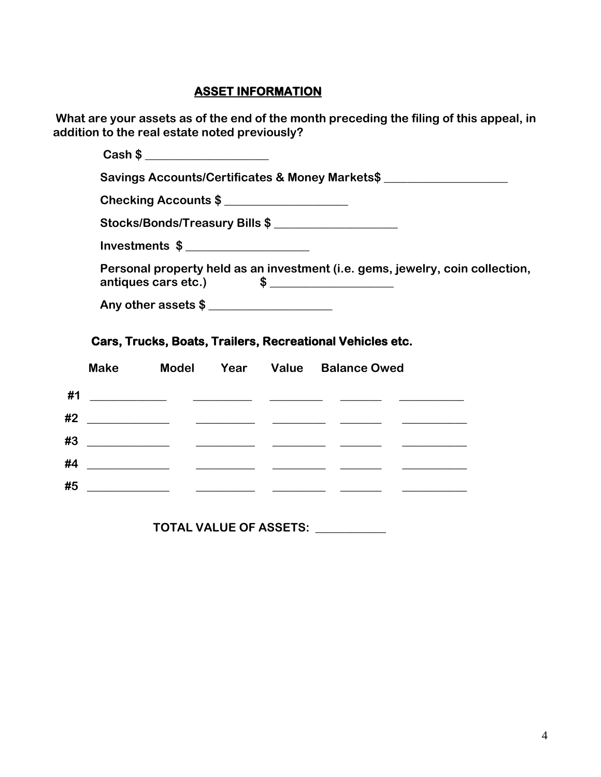#### **ASSET INFORMATION**

**What are your assets as of the end of the month preceding the filing of this appeal, in addition to the real estate noted previously?** 

| Cash \$                                                                                                                                              |
|------------------------------------------------------------------------------------------------------------------------------------------------------|
| Savings Accounts/Certificates & Money Markets\$                                                                                                      |
| Checking Accounts \$                                                                                                                                 |
| Stocks/Bonds/Treasury Bills \$                                                                                                                       |
| Investments $\frac{1}{2}$                                                                                                                            |
| Personal property held as an investment (i.e. gems, jewelry, coin collection,<br>antiques cars etc.) $\qquad \qquad$ $\qquad \qquad$ $\qquad \qquad$ |
| Any other assets \$                                                                                                                                  |

### **Cars, Trucks, Boats, Trailers, Recreational Vehicles etc.**

|    | <b>Make</b>                                                                                                            |                                                                                                                          |  | Model Year Value Balance Owed |  |
|----|------------------------------------------------------------------------------------------------------------------------|--------------------------------------------------------------------------------------------------------------------------|--|-------------------------------|--|
| #1 | <u> 1990 - Johann John Harry Harry Harry Harry Harry Harry Harry Harry Harry Harry Harry Harry Harry Harry Harry H</u> |                                                                                                                          |  |                               |  |
| #2 |                                                                                                                        |                                                                                                                          |  |                               |  |
| #3 |                                                                                                                        | <u> 1990 - Jan James James Barbara, político e</u> statunidade en la contrada de la contrada de la contrada de la contra |  |                               |  |
| #4 |                                                                                                                        |                                                                                                                          |  |                               |  |
| #5 |                                                                                                                        |                                                                                                                          |  |                               |  |

 **TOTAL VALUE OF ASSETS: \_\_\_\_\_\_\_\_\_\_\_\_**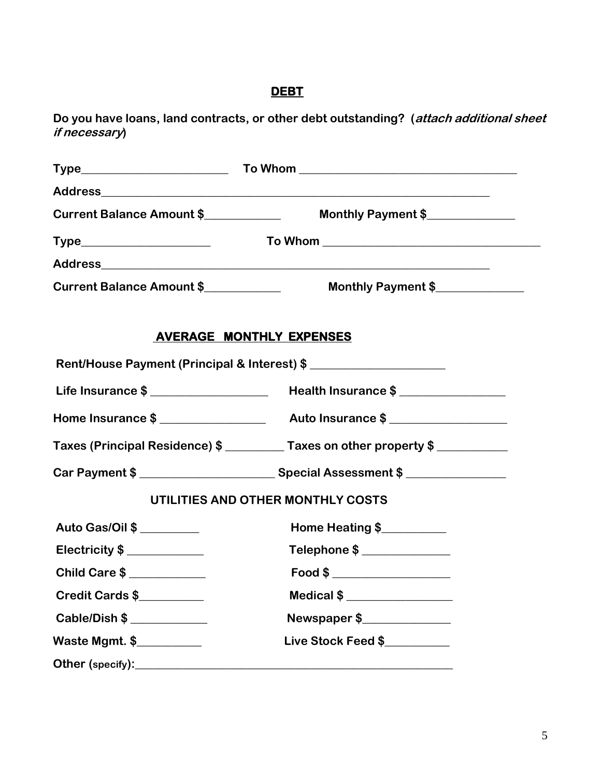# **DEBT**

**Do you have loans, land contracts, or other debt outstanding? (attach additional sheet if necessary)** 

| Current Balance Amount \$ | Monthly Payment \$                                                               |
|---------------------------|----------------------------------------------------------------------------------|
|                           |                                                                                  |
|                           |                                                                                  |
| Current Balance Amount \$ | Monthly Payment \$                                                               |
|                           | <b>AVERAGE MONTHLY EXPENSES</b>                                                  |
|                           | Rent/House Payment (Principal & Interest) \$                                     |
|                           |                                                                                  |
|                           |                                                                                  |
|                           | Taxes (Principal Residence) \$ __________ Taxes on other property \$ ___________ |
|                           |                                                                                  |
|                           | UTILITIES AND OTHER MONTHLY COSTS                                                |
| Auto Gas/Oil \$           | Home Heating \$                                                                  |
| Electricity \$            | Telephone \$ ____________                                                        |
| Child Care \$             |                                                                                  |
| Credit Cards \$           | Medical \$                                                                       |
| Cable/Dish \$             | Newspaper \$                                                                     |
| Waste Mgmt. \$            | Live Stock Feed \$                                                               |
|                           |                                                                                  |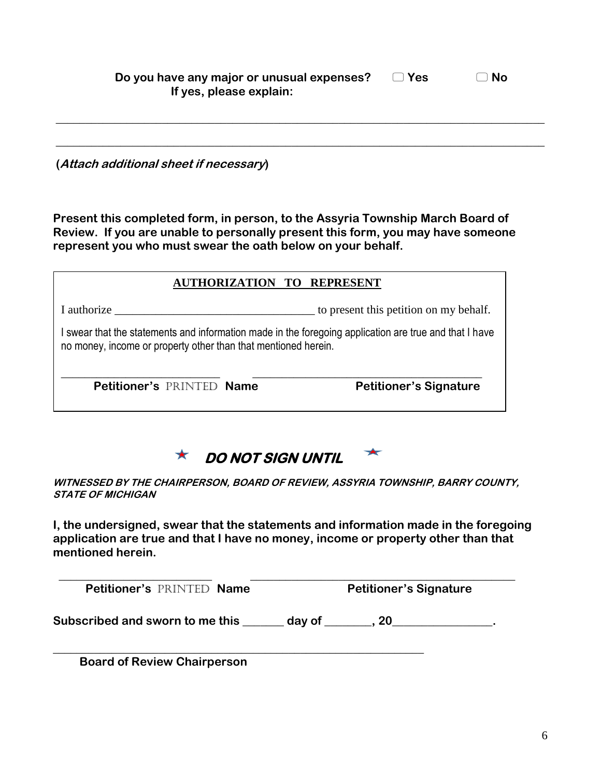| Do you have any major or unusual expenses? | $\Box$ Yes | $\Box$ No |
|--------------------------------------------|------------|-----------|
| If yes, please explain:                    |            |           |
|                                            |            |           |

**\_\_\_\_\_\_\_\_\_\_\_\_\_\_\_\_\_\_\_\_\_\_\_\_\_\_\_\_\_\_\_\_\_\_\_\_\_\_\_\_\_\_\_\_\_\_\_\_\_\_\_\_\_\_\_\_\_\_\_\_\_\_\_\_\_\_\_\_\_\_\_\_\_\_\_\_\_\_\_\_\_\_\_** 

**\_\_\_\_\_\_\_\_\_\_\_\_\_\_\_\_\_\_\_\_\_\_\_\_\_\_\_\_\_\_\_\_\_\_\_\_\_\_\_\_\_\_\_\_\_\_\_\_\_\_\_\_\_\_\_\_\_\_\_\_\_\_\_\_\_\_\_\_\_\_\_\_\_\_\_\_\_\_\_\_\_\_\_** 

**(Attach additional sheet if necessary)** 

**Present this completed form, in person, to the Assyria Township March Board of Review. If you are unable to personally present this form, you may have someone represent you who must swear the oath below on your behalf.** 

| <b>AUTHORIZATION TO REPRESENT</b>                                                                                                                                      |                                        |  |  |
|------------------------------------------------------------------------------------------------------------------------------------------------------------------------|----------------------------------------|--|--|
| I authorize                                                                                                                                                            | to present this petition on my behalf. |  |  |
| swear that the statements and information made in the foregoing application are true and that I have<br>no money, income or property other than that mentioned herein. |                                        |  |  |
| <b>Petitioner's PRINTED Name</b>                                                                                                                                       | <b>Petitioner's Signature</b>          |  |  |



**WITNESSED BY THE CHAIRPERSON, BOARD OF REVIEW, ASSYRIA TOWNSHIP, BARRY COUNTY, STATE OF MICHIGAN**

**I, the undersigned, swear that the statements and information made in the foregoing application are true and that I have no money, income or property other than that mentioned herein.**

**Petitioner's PRINTED Name Petitioner's Signature** 

 **\_\_\_\_\_\_\_\_\_\_\_\_\_\_\_\_\_\_\_\_\_\_\_\_\_\_ \_\_\_\_\_\_\_\_\_\_\_\_\_\_\_\_\_\_\_\_\_\_\_\_\_\_\_\_\_\_\_\_\_\_\_\_\_\_\_\_\_\_\_\_\_**

Subscribed and sworn to me this \_\_\_\_\_\_ day of \_\_\_\_\_\_, 20\_\_\_\_\_\_\_\_\_\_\_\_\_\_\_.

**\_\_\_\_\_\_\_\_\_\_\_\_\_\_\_\_\_\_\_\_\_\_\_\_\_\_\_\_\_\_\_\_\_\_\_\_\_\_\_\_\_\_\_\_\_\_\_\_\_\_\_\_\_\_\_\_\_\_\_\_\_\_\_**

 **Board of Review Chairperson**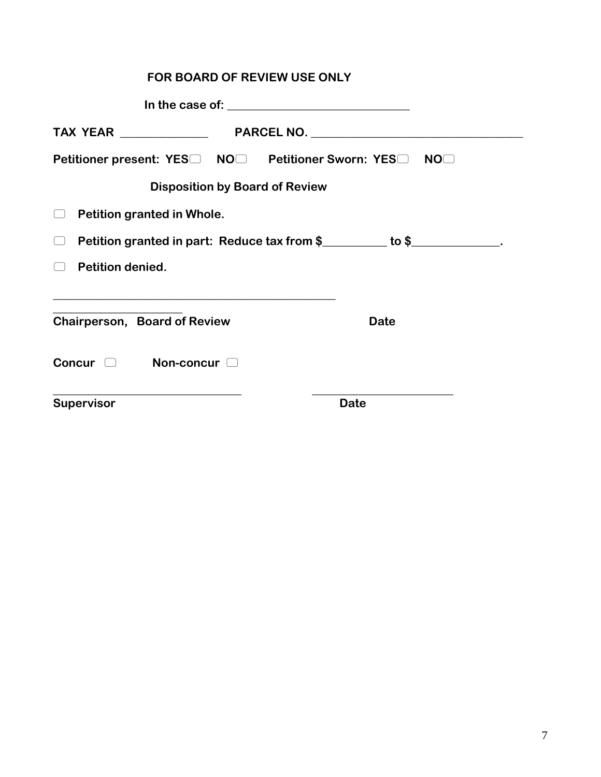| FOR BOARD OF REVIEW USE ONLY                                                                                             |             |  |  |
|--------------------------------------------------------------------------------------------------------------------------|-------------|--|--|
|                                                                                                                          |             |  |  |
|                                                                                                                          |             |  |  |
| Petitioner present: YES□ NO□ Petitioner Sworn: YES□ NO□                                                                  |             |  |  |
| <b>Disposition by Board of Review</b>                                                                                    |             |  |  |
| Petition granted in Whole.                                                                                               |             |  |  |
| Petition granted in part: Reduce tax from \$________ to \$___________.<br>$\begin{pmatrix} 1 & 1 \\ 1 & 1 \end{pmatrix}$ |             |  |  |
| <b>Petition denied.</b>                                                                                                  |             |  |  |
| <u> 1989 - Johann John Stoff, deutscher Stoffen und der Stoffen und der Stoffen und der Stoffen und der Stoffen u</u>    |             |  |  |
| Chairperson, Board of Review                                                                                             | <b>Date</b> |  |  |
| Concur and Non-concur                                                                                                    |             |  |  |
| Supervisor                                                                                                               | <b>Date</b> |  |  |